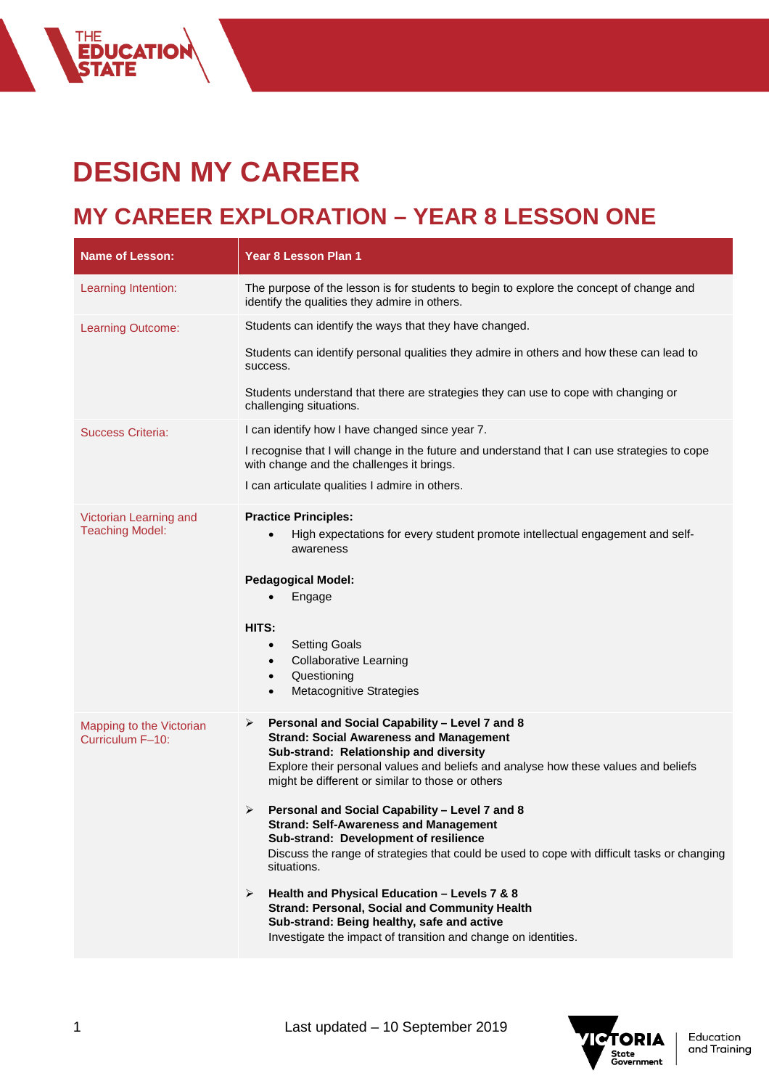## **DESIGN MY CAREER**

THE<br>**EDUCATION<br>STATE** 

## **MY CAREER EXPLORATION – YEAR 8 LESSON ONE**

| The purpose of the lesson is for students to begin to explore the concept of change and<br>Learning Intention:<br>identify the qualities they admire in others.                                 |  |
|-------------------------------------------------------------------------------------------------------------------------------------------------------------------------------------------------|--|
|                                                                                                                                                                                                 |  |
| Students can identify the ways that they have changed.<br>Learning Outcome:                                                                                                                     |  |
| Students can identify personal qualities they admire in others and how these can lead to<br>success.                                                                                            |  |
| Students understand that there are strategies they can use to cope with changing or<br>challenging situations.                                                                                  |  |
| I can identify how I have changed since year 7.<br><b>Success Criteria:</b>                                                                                                                     |  |
| I recognise that I will change in the future and understand that I can use strategies to cope<br>with change and the challenges it brings.                                                      |  |
| I can articulate qualities I admire in others.                                                                                                                                                  |  |
| Victorian Learning and<br><b>Practice Principles:</b><br><b>Teaching Model:</b><br>High expectations for every student promote intellectual engagement and self-<br>$\bullet$                   |  |
| awareness                                                                                                                                                                                       |  |
| <b>Pedagogical Model:</b>                                                                                                                                                                       |  |
| Engage<br>$\bullet$                                                                                                                                                                             |  |
| HITS:                                                                                                                                                                                           |  |
| <b>Setting Goals</b><br>$\bullet$<br><b>Collaborative Learning</b><br>$\bullet$                                                                                                                 |  |
| Questioning<br>$\bullet$<br>Metacognitive Strategies<br>$\bullet$                                                                                                                               |  |
|                                                                                                                                                                                                 |  |
| Personal and Social Capability - Level 7 and 8<br>➤<br>Mapping to the Victorian<br><b>Strand: Social Awareness and Management</b><br>Curriculum F-10:<br>Sub-strand: Relationship and diversity |  |
| Explore their personal values and beliefs and analyse how these values and beliefs<br>might be different or similar to those or others                                                          |  |
| Personal and Social Capability - Level 7 and 8<br>➤<br><b>Strand: Self-Awareness and Management</b>                                                                                             |  |
| Sub-strand: Development of resilience<br>Discuss the range of strategies that could be used to cope with difficult tasks or changing<br>situations.                                             |  |
| Health and Physical Education - Levels 7 & 8<br>➤<br><b>Strand: Personal, Social and Community Health</b>                                                                                       |  |
| Sub-strand: Being healthy, safe and active<br>Investigate the impact of transition and change on identities.                                                                                    |  |

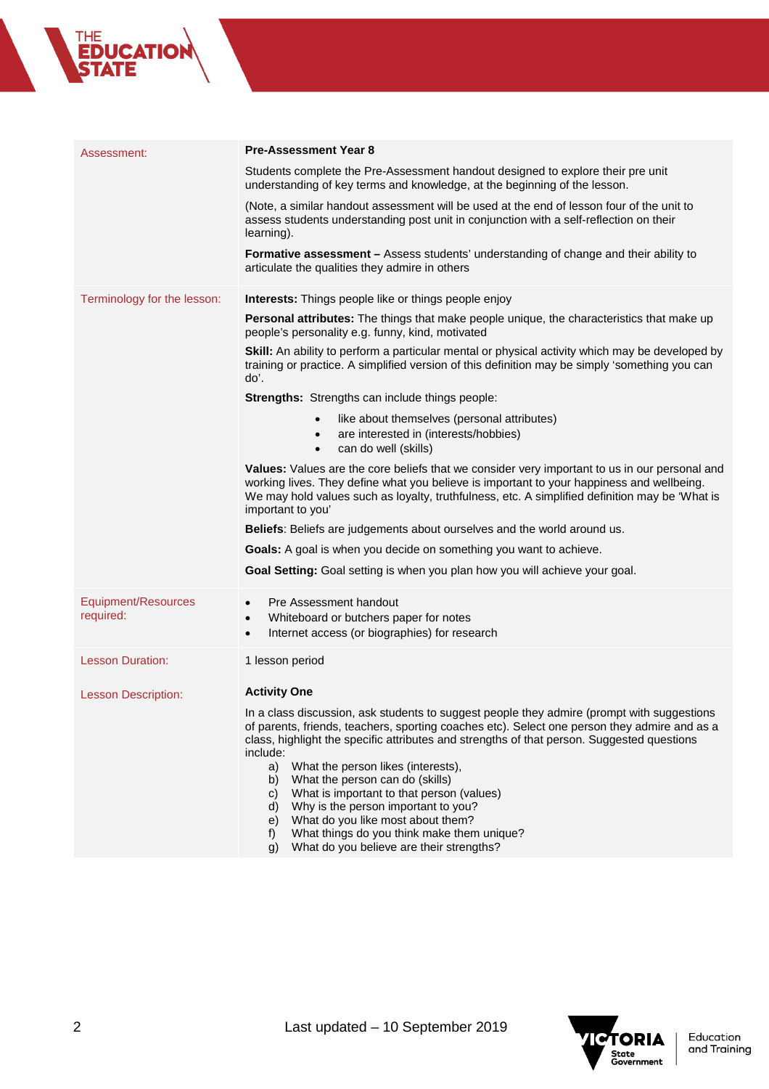



g) What do you believe are their strengths?

**CATIO**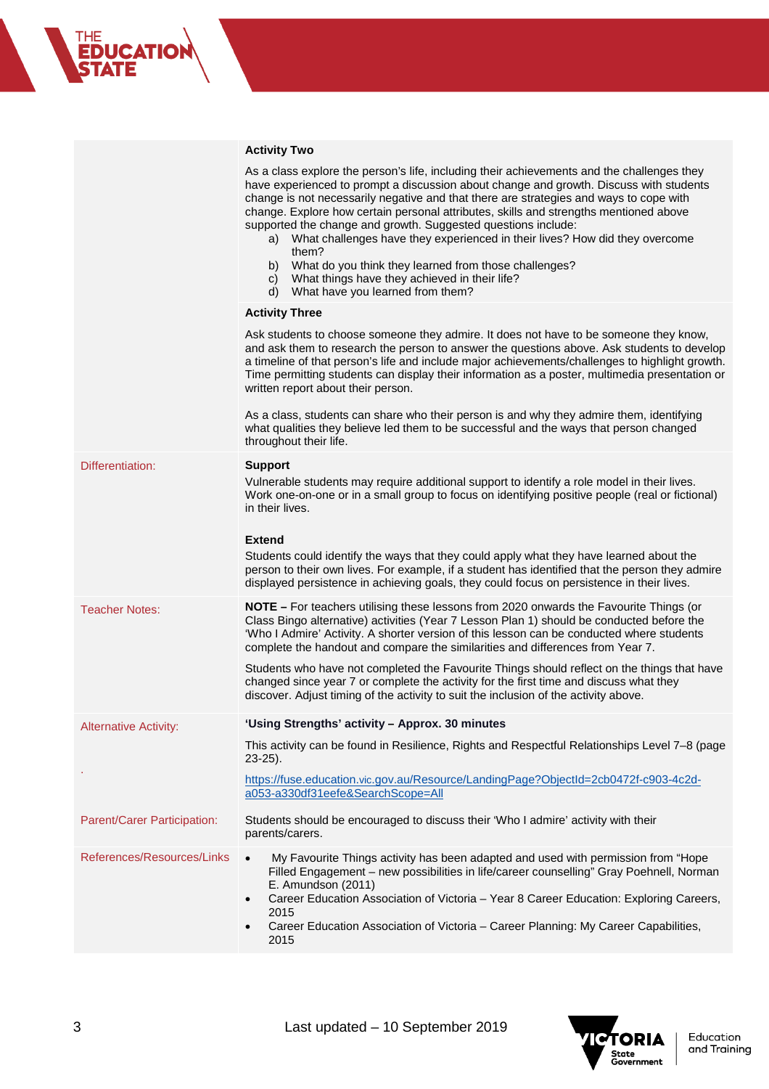|                              | <b>Activity Two</b>                                                                                                                                                                                                                                                                                                                                                                                                                                                                                                                                                                                                                                                                                    |
|------------------------------|--------------------------------------------------------------------------------------------------------------------------------------------------------------------------------------------------------------------------------------------------------------------------------------------------------------------------------------------------------------------------------------------------------------------------------------------------------------------------------------------------------------------------------------------------------------------------------------------------------------------------------------------------------------------------------------------------------|
|                              | As a class explore the person's life, including their achievements and the challenges they<br>have experienced to prompt a discussion about change and growth. Discuss with students<br>change is not necessarily negative and that there are strategies and ways to cope with<br>change. Explore how certain personal attributes, skills and strengths mentioned above<br>supported the change and growth. Suggested questions include:<br>What challenges have they experienced in their lives? How did they overcome<br>a)<br>them?<br>What do you think they learned from those challenges?<br>b)<br>What things have they achieved in their life?<br>C)<br>What have you learned from them?<br>d) |
|                              | <b>Activity Three</b>                                                                                                                                                                                                                                                                                                                                                                                                                                                                                                                                                                                                                                                                                  |
|                              | Ask students to choose someone they admire. It does not have to be someone they know,<br>and ask them to research the person to answer the questions above. Ask students to develop<br>a timeline of that person's life and include major achievements/challenges to highlight growth.<br>Time permitting students can display their information as a poster, multimedia presentation or<br>written report about their person.                                                                                                                                                                                                                                                                         |
|                              | As a class, students can share who their person is and why they admire them, identifying<br>what qualities they believe led them to be successful and the ways that person changed<br>throughout their life.                                                                                                                                                                                                                                                                                                                                                                                                                                                                                           |
| Differentiation:             | <b>Support</b><br>Vulnerable students may require additional support to identify a role model in their lives.<br>Work one-on-one or in a small group to focus on identifying positive people (real or fictional)<br>in their lives.                                                                                                                                                                                                                                                                                                                                                                                                                                                                    |
|                              | <b>Extend</b>                                                                                                                                                                                                                                                                                                                                                                                                                                                                                                                                                                                                                                                                                          |
|                              | Students could identify the ways that they could apply what they have learned about the<br>person to their own lives. For example, if a student has identified that the person they admire<br>displayed persistence in achieving goals, they could focus on persistence in their lives.                                                                                                                                                                                                                                                                                                                                                                                                                |
| <b>Teacher Notes:</b>        | NOTE - For teachers utilising these lessons from 2020 onwards the Favourite Things (or<br>Class Bingo alternative) activities (Year 7 Lesson Plan 1) should be conducted before the<br>'Who I Admire' Activity. A shorter version of this lesson can be conducted where students<br>complete the handout and compare the similarities and differences from Year 7.                                                                                                                                                                                                                                                                                                                                     |
|                              | Students who have not completed the Favourite Things should reflect on the things that have<br>changed since year 7 or complete the activity for the first time and discuss what they<br>discover. Adjust timing of the activity to suit the inclusion of the activity above.                                                                                                                                                                                                                                                                                                                                                                                                                          |
| <b>Alternative Activity:</b> | 'Using Strengths' activity - Approx. 30 minutes                                                                                                                                                                                                                                                                                                                                                                                                                                                                                                                                                                                                                                                        |
|                              | This activity can be found in Resilience, Rights and Respectful Relationships Level 7-8 (page<br>$23-25$ ).                                                                                                                                                                                                                                                                                                                                                                                                                                                                                                                                                                                            |
|                              | https://fuse.education.vic.gov.au/Resource/LandingPage?ObjectId=2cb0472f-c903-4c2d-<br>a053-a330df31eefe&SearchScope=All                                                                                                                                                                                                                                                                                                                                                                                                                                                                                                                                                                               |
| Parent/Carer Participation:  | Students should be encouraged to discuss their 'Who I admire' activity with their<br>parents/carers.                                                                                                                                                                                                                                                                                                                                                                                                                                                                                                                                                                                                   |
| References/Resources/Links   | My Favourite Things activity has been adapted and used with permission from "Hope<br>$\bullet$<br>Filled Engagement - new possibilities in life/career counselling" Gray Poehnell, Norman<br>E. Amundson (2011)<br>Career Education Association of Victoria - Year 8 Career Education: Exploring Careers,<br>$\bullet$<br>2015<br>Career Education Association of Victoria - Career Planning: My Career Capabilities,<br>$\bullet$<br>2015                                                                                                                                                                                                                                                             |